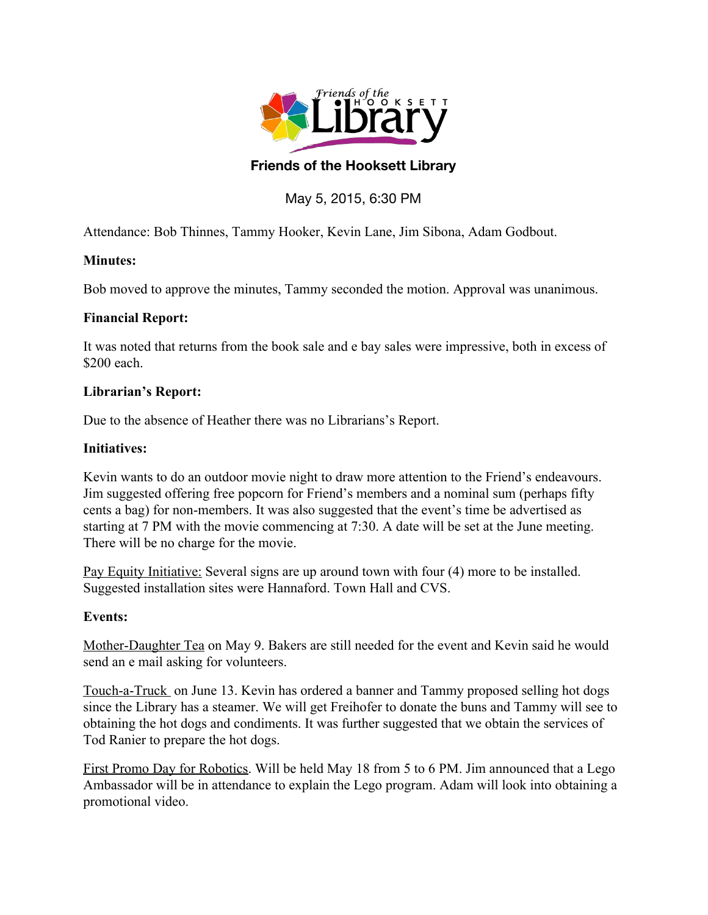

# **Friends of the Hooksett Library**

# May 5, 2015, 6:30 PM

Attendance: Bob Thinnes, Tammy Hooker, Kevin Lane, Jim Sibona, Adam Godbout.

### **Minutes:**

Bob moved to approve the minutes, Tammy seconded the motion. Approval was unanimous.

#### **Financial Report:**

It was noted that returns from the book sale and e bay sales were impressive, both in excess of \$200 each.

### **Librarian's Report:**

Due to the absence of Heather there was no Librarians's Report.

### **Initiatives:**

Kevin wants to do an outdoor movie night to draw more attention to the Friend's endeavours. Jim suggested offering free popcorn for Friend's members and a nominal sum (perhaps fifty cents a bag) for non-members. It was also suggested that the event's time be advertised as starting at 7 PM with the movie commencing at 7:30. A date will be set at the June meeting. There will be no charge for the movie.

Pay Equity Initiative: Several signs are up around town with four (4) more to be installed. Suggested installation sites were Hannaford. Town Hall and CVS.

## **Events:**

Mother-Daughter Tea on May 9. Bakers are still needed for the event and Kevin said he would send an e mail asking for volunteers.

Touch-a-Truck on June 13. Kevin has ordered a banner and Tammy proposed selling hot dogs since the Library has a steamer. We will get Freihofer to donate the buns and Tammy will see to obtaining the hot dogs and condiments. It was further suggested that we obtain the services of Tod Ranier to prepare the hot dogs.

First Promo Day for Robotics. Will be held May 18 from 5 to 6 PM. Jim announced that a Lego Ambassador will be in attendance to explain the Lego program. Adam will look into obtaining a promotional video.